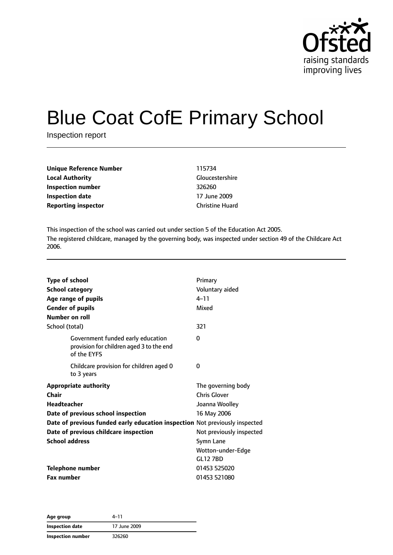

# Blue Coat CofE Primary School

Inspection report

| <b>Unique Reference Number</b> | 115734                 |  |
|--------------------------------|------------------------|--|
| <b>Local Authority</b>         | Gloucestershire        |  |
| Inspection number              | 326260                 |  |
| <b>Inspection date</b>         | 17 June 2009           |  |
| <b>Reporting inspector</b>     | <b>Christine Huard</b> |  |

This inspection of the school was carried out under section 5 of the Education Act 2005. The registered childcare, managed by the governing body, was inspected under section 49 of the Childcare Act 2006.

| <b>Type of school</b>                                                                        | Primary                  |
|----------------------------------------------------------------------------------------------|--------------------------|
| <b>School category</b>                                                                       | Voluntary aided          |
| Age range of pupils                                                                          | $4 - 11$                 |
| <b>Gender of pupils</b>                                                                      | Mixed                    |
| Number on roll                                                                               |                          |
| School (total)                                                                               | 321                      |
| Government funded early education<br>provision for children aged 3 to the end<br>of the EYFS | 0                        |
| Childcare provision for children aged 0<br>to 3 years                                        | 0                        |
| <b>Appropriate authority</b>                                                                 | The governing body       |
| Chair                                                                                        | <b>Chris Glover</b>      |
| Headteacher                                                                                  | Joanna Woolley           |
| Date of previous school inspection                                                           | 16 May 2006              |
| Date of previous funded early education inspection Not previously inspected                  |                          |
| Date of previous childcare inspection                                                        | Not previously inspected |
| <b>School address</b>                                                                        | Symn Lane                |
|                                                                                              | Wotton-under-Edge        |
|                                                                                              | <b>GL12 7BD</b>          |
| <b>Telephone number</b>                                                                      | 01453 525020             |
| <b>Fax number</b>                                                                            | 01453 521080             |

**Age group** 4–11 **Inspection date** 17 June 2009 **Inspection number** 326260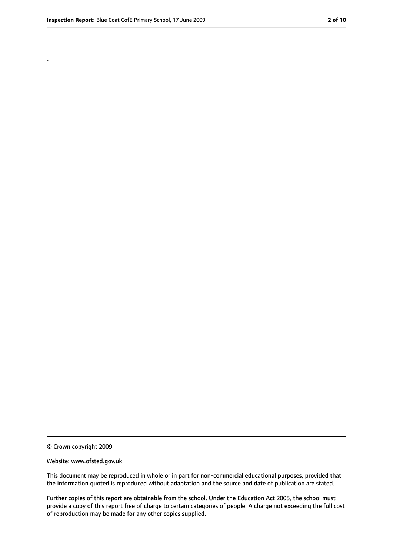.

<sup>©</sup> Crown copyright 2009

Website: www.ofsted.gov.uk

This document may be reproduced in whole or in part for non-commercial educational purposes, provided that the information quoted is reproduced without adaptation and the source and date of publication are stated.

Further copies of this report are obtainable from the school. Under the Education Act 2005, the school must provide a copy of this report free of charge to certain categories of people. A charge not exceeding the full cost of reproduction may be made for any other copies supplied.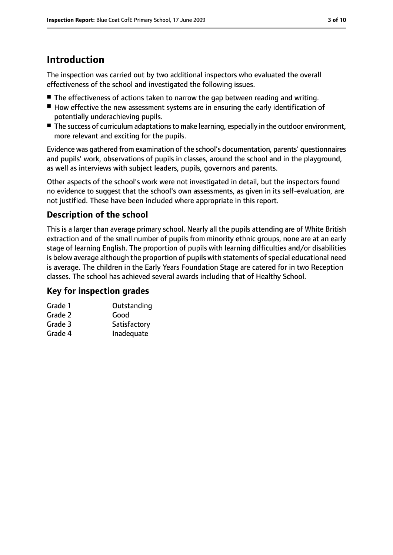## **Introduction**

The inspection was carried out by two additional inspectors who evaluated the overall effectiveness of the school and investigated the following issues.

- The effectiveness of actions taken to narrow the gap between reading and writing.
- How effective the new assessment systems are in ensuring the early identification of potentially underachieving pupils.
- The success of curriculum adaptations to make learning, especially in the outdoor environment, more relevant and exciting for the pupils.

Evidence was gathered from examination of the school's documentation, parents' questionnaires and pupils' work, observations of pupils in classes, around the school and in the playground, as well as interviews with subject leaders, pupils, governors and parents.

Other aspects of the school's work were not investigated in detail, but the inspectors found no evidence to suggest that the school's own assessments, as given in its self-evaluation, are not justified. These have been included where appropriate in this report.

## **Description of the school**

This is a larger than average primary school. Nearly all the pupils attending are of White British extraction and of the small number of pupils from minority ethnic groups, none are at an early stage of learning English. The proportion of pupils with learning difficulties and/or disabilities is below average although the proportion of pupils with statements of special educational need is average. The children in the Early Years Foundation Stage are catered for in two Reception classes. The school has achieved several awards including that of Healthy School.

## **Key for inspection grades**

| Grade 1 | Outstanding  |
|---------|--------------|
| Grade 2 | Good         |
| Grade 3 | Satisfactory |
| Grade 4 | Inadequate   |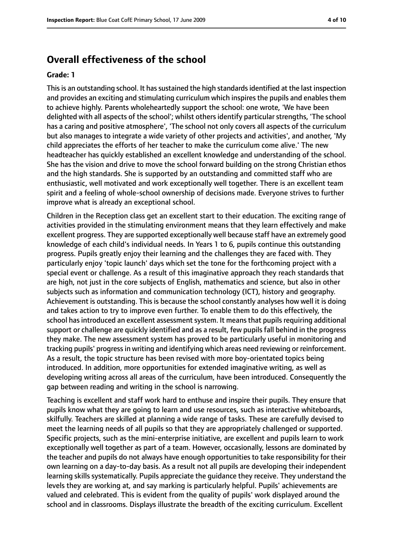## **Overall effectiveness of the school**

#### **Grade: 1**

This is an outstanding school. It has sustained the high standards identified at the last inspection and provides an exciting and stimulating curriculum which inspires the pupils and enables them to achieve highly. Parents wholeheartedly support the school: one wrote, 'We have been delighted with all aspects of the school'; whilst others identify particular strengths, 'The school has a caring and positive atmosphere', 'The school not only covers all aspects of the curriculum but also manages to integrate a wide variety of other projects and activities', and another, 'My child appreciates the efforts of her teacher to make the curriculum come alive.' The new headteacher has quickly established an excellent knowledge and understanding of the school. She has the vision and drive to move the school forward building on the strong Christian ethos and the high standards. She is supported by an outstanding and committed staff who are enthusiastic, well motivated and work exceptionally well together. There is an excellent team spirit and a feeling of whole-school ownership of decisions made. Everyone strives to further improve what is already an exceptional school.

Children in the Reception class get an excellent start to their education. The exciting range of activities provided in the stimulating environment means that they learn effectively and make excellent progress. They are supported exceptionally well because staff have an extremely good knowledge of each child's individual needs. In Years 1 to 6, pupils continue this outstanding progress. Pupils greatly enjoy their learning and the challenges they are faced with. They particularly enjoy 'topic launch' days which set the tone for the forthcoming project with a special event or challenge. As a result of this imaginative approach they reach standards that are high, not just in the core subjects of English, mathematics and science, but also in other subjects such as information and communication technology (ICT), history and geography. Achievement is outstanding. This is because the school constantly analyses how well it is doing and takes action to try to improve even further. To enable them to do this effectively, the school has introduced an excellent assessment system. It means that pupils requiring additional support or challenge are quickly identified and as a result, few pupils fall behind in the progress they make. The new assessment system has proved to be particularly useful in monitoring and tracking pupils' progressin writing and identifying which areas need reviewing or reinforcement. As a result, the topic structure has been revised with more boy-orientated topics being introduced. In addition, more opportunities for extended imaginative writing, as well as developing writing across all areas of the curriculum, have been introduced. Consequently the gap between reading and writing in the school is narrowing.

Teaching is excellent and staff work hard to enthuse and inspire their pupils. They ensure that pupils know what they are going to learn and use resources, such as interactive whiteboards, skilfully. Teachers are skilled at planning a wide range of tasks. These are carefully devised to meet the learning needs of all pupils so that they are appropriately challenged or supported. Specific projects, such as the mini-enterprise initiative, are excellent and pupils learn to work exceptionally well together as part of a team. However, occasionally, lessons are dominated by the teacher and pupils do not always have enough opportunities to take responsibility for their own learning on a day-to-day basis. As a result not all pupils are developing their independent learning skills systematically. Pupils appreciate the guidance they receive. They understand the levels they are working at, and say marking is particularly helpful. Pupils' achievements are valued and celebrated. This is evident from the quality of pupils' work displayed around the school and in classrooms. Displays illustrate the breadth of the exciting curriculum. Excellent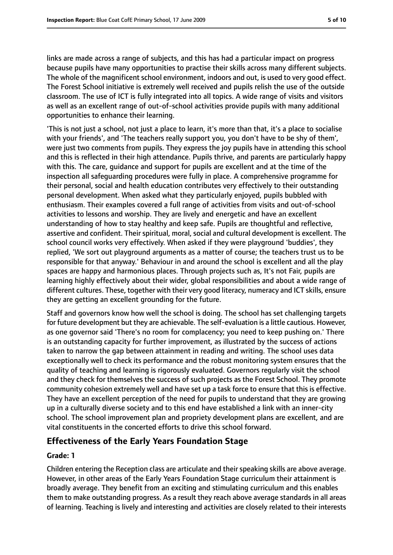links are made across a range of subjects, and this has had a particular impact on progress because pupils have many opportunities to practise their skills across many different subjects. The whole of the magnificent school environment, indoors and out, is used to very good effect. The Forest School initiative is extremely well received and pupils relish the use of the outside classroom. The use of ICT is fully integrated into all topics. A wide range of visits and visitors as well as an excellent range of out-of-school activities provide pupils with many additional opportunities to enhance their learning.

'This is not just a school, not just a place to learn, it's more than that, it's a place to socialise with your friends', and 'The teachers really support you, you don't have to be shy of them', were just two comments from pupils. They express the joy pupils have in attending this school and this is reflected in their high attendance. Pupils thrive, and parents are particularly happy with this. The care, guidance and support for pupils are excellent and at the time of the inspection all safeguarding procedures were fully in place. A comprehensive programme for their personal, social and health education contributes very effectively to their outstanding personal development. When asked what they particularly enjoyed, pupils bubbled with enthusiasm. Their examples covered a full range of activities from visits and out-of-school activities to lessons and worship. They are lively and energetic and have an excellent understanding of how to stay healthy and keep safe. Pupils are thoughtful and reflective, assertive and confident. Their spiritual, moral, social and cultural development is excellent. The school council works very effectively. When asked if they were playground 'buddies', they replied, 'We sort out playground arguments as a matter of course; the teachers trust us to be responsible for that anyway.' Behaviour in and around the school is excellent and all the play spaces are happy and harmonious places. Through projects such as, It's not Fair, pupils are learning highly effectively about their wider, global responsibilities and about a wide range of different cultures. These, together with their very good literacy, numeracy and ICT skills, ensure they are getting an excellent grounding for the future.

Staff and governors know how well the school is doing. The school has set challenging targets for future development but they are achievable. The self-evaluation is a little cautious. However, as one governor said 'There's no room for complacency; you need to keep pushing on.' There is an outstanding capacity for further improvement, as illustrated by the success of actions taken to narrow the gap between attainment in reading and writing. The school uses data exceptionally well to check its performance and the robust monitoring system ensures that the quality of teaching and learning is rigorously evaluated. Governors regularly visit the school and they check for themselves the success of such projects as the Forest School. They promote community cohesion extremely well and have set up a task force to ensure that this is effective. They have an excellent perception of the need for pupils to understand that they are growing up in a culturally diverse society and to this end have established a link with an inner-city school. The school improvement plan and propriety development plans are excellent, and are vital constituents in the concerted efforts to drive this school forward.

## **Effectiveness of the Early Years Foundation Stage**

#### **Grade: 1**

Children entering the Reception class are articulate and their speaking skills are above average. However, in other areas of the Early Years Foundation Stage curriculum their attainment is broadly average. They benefit from an exciting and stimulating curriculum and this enables them to make outstanding progress. As a result they reach above average standards in all areas of learning. Teaching is lively and interesting and activities are closely related to their interests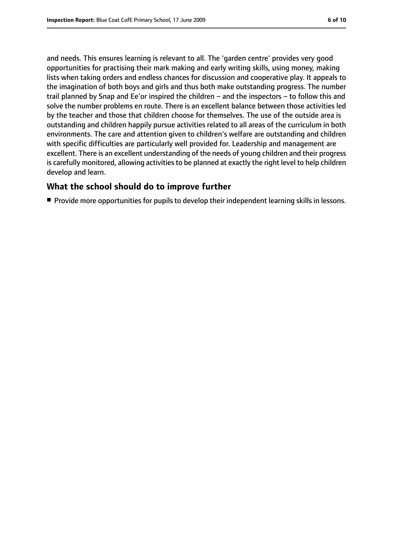and needs. This ensures learning is relevant to all. The 'garden centre' provides very good opportunities for practising their mark making and early writing skills, using money, making lists when taking orders and endless chances for discussion and cooperative play. It appeals to the imagination of both boys and girls and thus both make outstanding progress. The number trail planned by Snap and Ee'or inspired the children – and the inspectors – to follow this and solve the number problems en route. There is an excellent balance between those activities led by the teacher and those that children choose for themselves. The use of the outside area is outstanding and children happily pursue activities related to all areas of the curriculum in both environments. The care and attention given to children's welfare are outstanding and children with specific difficulties are particularly well provided for. Leadership and management are excellent. There is an excellent understanding of the needs of young children and their progress is carefully monitored, allowing activities to be planned at exactly the right level to help children develop and learn.

#### **What the school should do to improve further**

■ Provide more opportunities for pupils to develop their independent learning skills in lessons.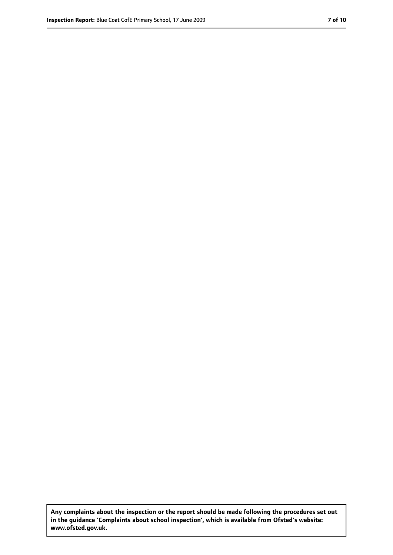**Any complaints about the inspection or the report should be made following the procedures set out in the guidance 'Complaints about school inspection', which is available from Ofsted's website: www.ofsted.gov.uk.**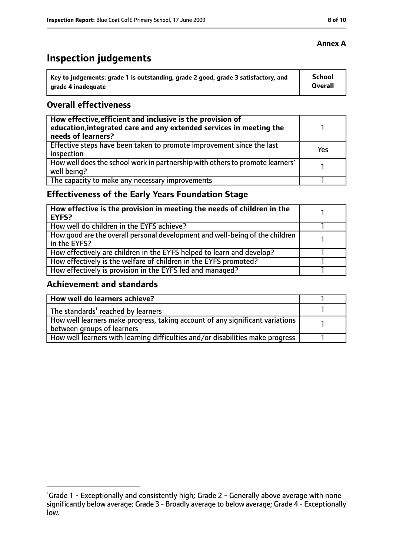# **Inspection judgements**

| ˈ Key to judgements: grade 1 is outstanding, grade 2 good, grade 3 satisfactory, and | <b>School</b>  |
|--------------------------------------------------------------------------------------|----------------|
| arade 4 inadequate                                                                   | <b>Overall</b> |

#### **Overall effectiveness**

| How effective, efficient and inclusive is the provision of<br>education, integrated care and any extended services in meeting the<br>needs of learners? |     |
|---------------------------------------------------------------------------------------------------------------------------------------------------------|-----|
| Effective steps have been taken to promote improvement since the last<br>inspection                                                                     | Yes |
| How well does the school work in partnership with others to promote learners'<br>well being?                                                            |     |
| The capacity to make any necessary improvements                                                                                                         |     |

## **Effectiveness of the Early Years Foundation Stage**

| How effective is the provision in meeting the needs of children in the<br>l EYFS?            |  |
|----------------------------------------------------------------------------------------------|--|
| How well do children in the EYFS achieve?                                                    |  |
| How good are the overall personal development and well-being of the children<br>in the EYFS? |  |
| How effectively are children in the EYFS helped to learn and develop?                        |  |
| How effectively is the welfare of children in the EYFS promoted?                             |  |
| How effectively is provision in the EYFS led and managed?                                    |  |

#### **Achievement and standards**

| How well do learners achieve?                                                  |  |
|--------------------------------------------------------------------------------|--|
| The standards <sup>1</sup> reached by learners                                 |  |
| How well learners make progress, taking account of any significant variations  |  |
| between groups of learners                                                     |  |
| How well learners with learning difficulties and/or disabilities make progress |  |

#### **Annex A**

<sup>&</sup>lt;sup>1</sup>Grade 1 - Exceptionally and consistently high; Grade 2 - Generally above average with none significantly below average; Grade 3 - Broadly average to below average; Grade 4 - Exceptionally low.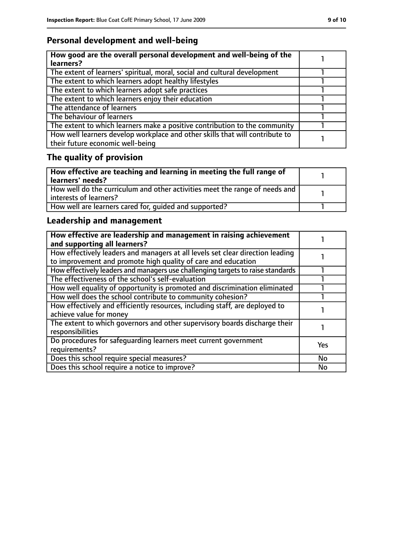## **Personal development and well-being**

| How good are the overall personal development and well-being of the<br>learners?                                 |  |
|------------------------------------------------------------------------------------------------------------------|--|
| The extent of learners' spiritual, moral, social and cultural development                                        |  |
| The extent to which learners adopt healthy lifestyles                                                            |  |
| The extent to which learners adopt safe practices                                                                |  |
| The extent to which learners enjoy their education                                                               |  |
| The attendance of learners                                                                                       |  |
| The behaviour of learners                                                                                        |  |
| The extent to which learners make a positive contribution to the community                                       |  |
| How well learners develop workplace and other skills that will contribute to<br>their future economic well-being |  |

# **The quality of provision**

| $\mid$ How effective are teaching and learning in meeting the full range of<br>  learners' needs?       |  |
|---------------------------------------------------------------------------------------------------------|--|
| How well do the curriculum and other activities meet the range of needs and<br>  interests of learners? |  |
| How well are learners cared for, quided and supported?                                                  |  |

## **Leadership and management**

| How effective are leadership and management in raising achievement<br>and supporting all learners?                                              |            |
|-------------------------------------------------------------------------------------------------------------------------------------------------|------------|
| How effectively leaders and managers at all levels set clear direction leading<br>to improvement and promote high quality of care and education |            |
| How effectively leaders and managers use challenging targets to raise standards                                                                 |            |
| The effectiveness of the school's self-evaluation                                                                                               |            |
| How well equality of opportunity is promoted and discrimination eliminated                                                                      |            |
| How well does the school contribute to community cohesion?                                                                                      |            |
| How effectively and efficiently resources, including staff, are deployed to<br>achieve value for money                                          |            |
| The extent to which governors and other supervisory boards discharge their<br>responsibilities                                                  |            |
| Do procedures for safequarding learners meet current government<br>requirements?                                                                | <b>Yes</b> |
| Does this school require special measures?                                                                                                      | <b>No</b>  |
| Does this school require a notice to improve?                                                                                                   | No         |